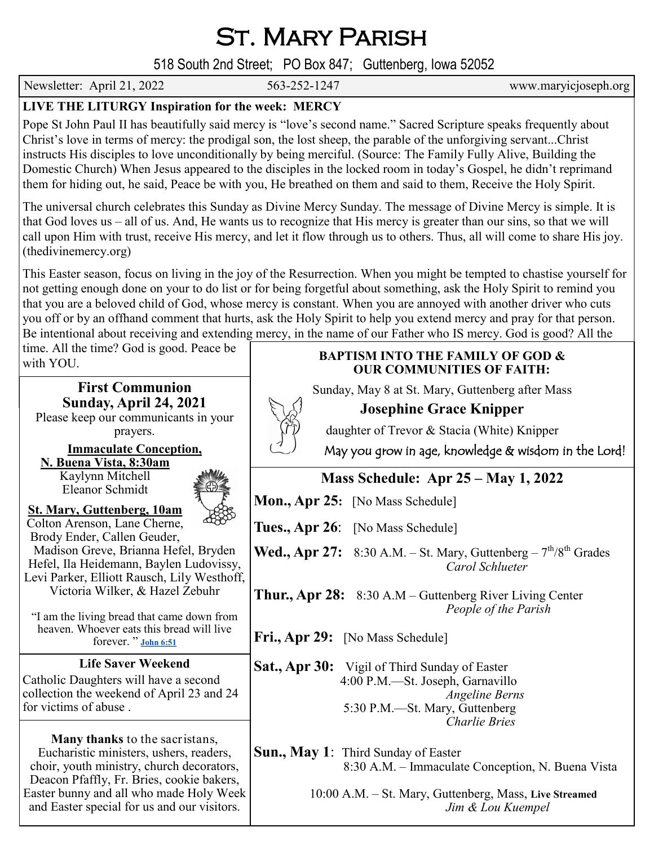St. Mary Parish

518 South 2nd Street; PO Box 847; Guttenberg, Iowa 52052

Newsletter: April 21, 2022 563-252-1247 www.maryicjoseph.org

## **LIVE THE LITURGY Inspiration for the week: MERCY**

Pope St John Paul II has beautifully said mercy is "love's second name." Sacred Scripture speaks frequently about Christ's love in terms of mercy: the prodigal son, the lost sheep, the parable of the unforgiving servant...Christ instructs His disciples to love unconditionally by being merciful. (Source: The Family Fully Alive, Building the Domestic Church) When Jesus appeared to the disciples in the locked room in today's Gospel, he didn't reprimand them for hiding out, he said, Peace be with you, He breathed on them and said to them, Receive the Holy Spirit.

The universal church celebrates this Sunday as Divine Mercy Sunday. The message of Divine Mercy is simple. It is that God loves us – all of us. And, He wants us to recognize that His mercy is greater than our sins, so that we will call upon Him with trust, receive His mercy, and let it flow through us to others. Thus, all will come to share His joy. (thedivinemercy.org)

This Easter season, focus on living in the joy of the Resurrection. When you might be tempted to chastise yourself for not getting enough done on your to do list or for being forgetful about something, ask the Holy Spirit to remind you that you are a beloved child of God, whose mercy is constant. When you are annoyed with another driver who cuts you off or by an offhand comment that hurts, ask the Holy Spirit to help you extend mercy and pray for that person. Be intentional about receiving and extending mercy, in the name of our Father who IS mercy. God is good? All the

time. All the time? God is good. Peace be

for

| $\mu$ and $\mu$ and $\mu$ and $\mu$ and $\mu$ and $\mu$ and $\mu$<br>with YOU.                                                                                                                                                                                                                                                         | <b>BAPTISM INTO THE FAMILY OF GOD &amp;</b><br><b>OUR COMMUNITIES OF FAITH:</b>                                                                                                                           |
|----------------------------------------------------------------------------------------------------------------------------------------------------------------------------------------------------------------------------------------------------------------------------------------------------------------------------------------|-----------------------------------------------------------------------------------------------------------------------------------------------------------------------------------------------------------|
| <b>First Communion</b><br><b>Sunday, April 24, 2021</b><br>Please keep our communicants in your<br>prayers.<br><b>Immaculate Conception,</b>                                                                                                                                                                                           | Sunday, May 8 at St. Mary, Guttenberg after Mass<br><b>Josephine Grace Knipper</b><br>daughter of Trevor & Stacia (White) Knipper<br>May you grow in age, knowledge & wisdom in the Lord!                 |
| N. Buena Vista, 8:30am<br>Kaylynn Mitchell<br>Eleanor Schmidt<br><b>St. Mary, Guttenberg, 10am</b><br>Colton Arenson, Lane Cherne,<br>Brody Ender, Callen Geuder,<br>Madison Greve, Brianna Hefel, Bryden<br>Hefel, Ila Heidemann, Baylen Ludovissy,<br>Levi Parker, Elliott Rausch, Lily Westhoff,<br>Victoria Wilker, & Hazel Zebuhr | <b>Mass Schedule: Apr 25 – May 1, 2022</b><br><b>Mon., Apr 25:</b> [No Mass Schedule]                                                                                                                     |
|                                                                                                                                                                                                                                                                                                                                        | Tues., Apr 26: [No Mass Schedule]<br><b>Wed., Apr 27:</b> 8:30 A.M. – St. Mary, Guttenberg – $7^{th}/8^{th}$ Grades<br>Carol Schlueter<br><b>Thur., Apr 28:</b> 8:30 A.M – Guttenberg River Living Center |
| "I am the living bread that came down from<br>heaven. Whoever eats this bread will live<br>forever. " John 6:51                                                                                                                                                                                                                        | People of the Parish<br>Fri., Apr 29: [No Mass Schedule]                                                                                                                                                  |
| <b>Life Saver Weekend</b><br>Catholic Daughters will have a second<br>collection the weekend of April 23 and 24<br>for victims of abuse.                                                                                                                                                                                               | <b>Sat., Apr 30:</b> Vigil of Third Sunday of Easter<br>4:00 P.M.-St. Joseph, Garnavillo<br><b>Angeline Berns</b><br>5:30 P.M.-St. Mary, Guttenberg<br><b>Charlie Bries</b>                               |
| Many thanks to the sacristans,<br>Eucharistic ministers, ushers, readers,<br>choir, youth ministry, church decorators,<br>Deacon Pfaffly, Fr. Bries, cookie bakers,<br>Easter bunny and all who made Holy Week<br>and Easter special for us and our visitors.                                                                          | <b>Sun., May 1:</b> Third Sunday of Easter<br>8:30 A.M. – Immaculate Conception, N. Buena Vista<br>10:00 A.M. - St. Mary, Guttenberg, Mass, Live Streamed<br>Jim & Lou Kuempel                            |